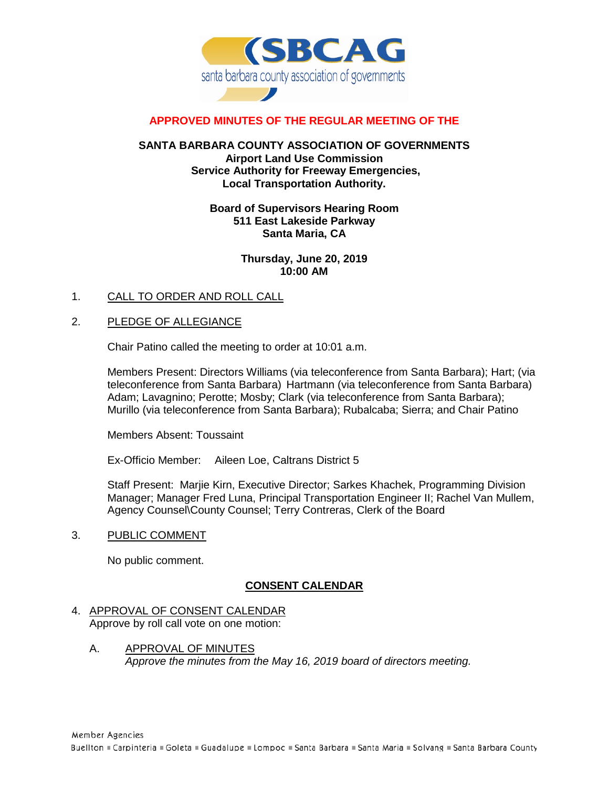

# **APPROVED MINUTES OF THE REGULAR MEETING OF THE**

## **SANTA BARBARA COUNTY ASSOCIATION OF GOVERNMENTS Airport Land Use Commission Service Authority for Freeway Emergencies, Local Transportation Authority.**

# **Board of Supervisors Hearing Room 511 East Lakeside Parkway Santa Maria, CA**

## **Thursday, June 20, 2019 10:00 AM**

1. CALL TO ORDER AND ROLL CALL

# 2. PLEDGE OF ALLEGIANCE

Chair Patino called the meeting to order at 10:01 a.m.

Members Present: Directors Williams (via teleconference from Santa Barbara); Hart; (via teleconference from Santa Barbara) Hartmann (via teleconference from Santa Barbara) Adam; Lavagnino; Perotte; Mosby; Clark (via teleconference from Santa Barbara); Murillo (via teleconference from Santa Barbara); Rubalcaba; Sierra; and Chair Patino

Members Absent: Toussaint

Ex-Officio Member: Aileen Loe, Caltrans District 5

Staff Present: Marjie Kirn, Executive Director; Sarkes Khachek, Programming Division Manager; Manager Fred Luna, Principal Transportation Engineer II; Rachel Van Mullem, Agency Counsel\County Counsel; Terry Contreras, Clerk of the Board

3. PUBLIC COMMENT

No public comment.

# **CONSENT CALENDAR**

#### 4. APPROVAL OF CONSENT CALENDAR Approve by roll call vote on one motion:

A. APPROVAL OF MINUTES *Approve the minutes from the May 16, 2019 board of directors meeting.*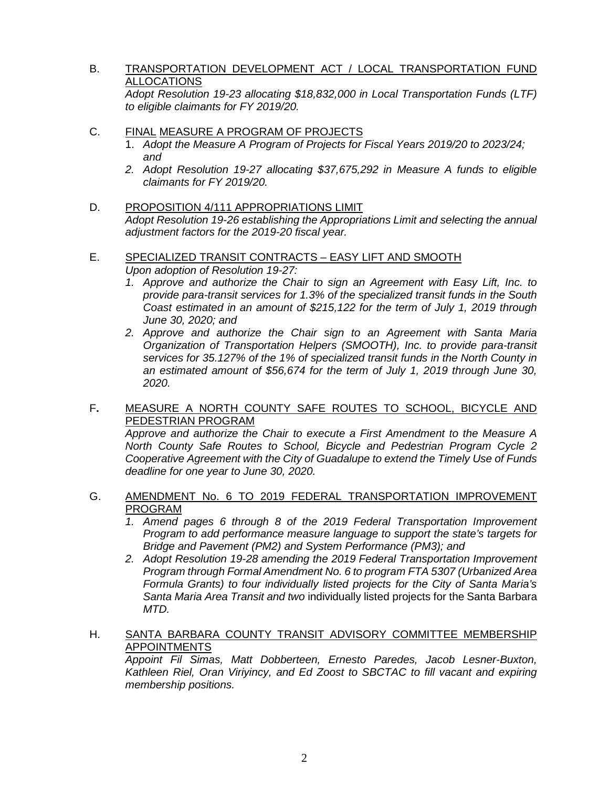# B. TRANSPORTATION DEVELOPMENT ACT / LOCAL TRANSPORTATION FUND ALLOCATIONS

*Adopt Resolution 19-23 allocating \$18,832,000 in Local Transportation Funds (LTF) to eligible claimants for FY 2019/20.*

## C. FINAL MEASURE A PROGRAM OF PROJECTS

- 1. *Adopt the Measure A Program of Projects for Fiscal Years 2019/20 to 2023/24; and*
- *2. Adopt Resolution 19-27 allocating \$37,675,292 in Measure A funds to eligible claimants for FY 2019/20.*
- D. PROPOSITION 4/111 APPROPRIATIONS LIMIT *Adopt Resolution 19-26 establishing the Appropriations Limit and selecting the annual adjustment factors for the 2019-20 fiscal year.*

### E. SPECIALIZED TRANSIT CONTRACTS – EASY LIFT AND SMOOTH *Upon adoption of Resolution 19-27:*

- *1. Approve and authorize the Chair to sign an Agreement with Easy Lift, Inc. to provide para-transit services for 1.3% of the specialized transit funds in the South Coast estimated in an amount of \$215,122 for the term of July 1, 2019 through June 30, 2020; and*
- *2. Approve and authorize the Chair sign to an Agreement with Santa Maria Organization of Transportation Helpers (SMOOTH), Inc. to provide para-transit services for 35.127% of the 1% of specialized transit funds in the North County in an estimated amount of \$56,674 for the term of July 1, 2019 through June 30, 2020.*

# F**.** MEASURE A NORTH COUNTY SAFE ROUTES TO SCHOOL, BICYCLE AND PEDESTRIAN PROGRAM

*Approve and authorize the Chair to execute a First Amendment to the Measure A North County Safe Routes to School, Bicycle and Pedestrian Program Cycle 2 Cooperative Agreement with the City of Guadalupe to extend the Timely Use of Funds deadline for one year to June 30, 2020.*

# G. AMENDMENT No. 6 TO 2019 FEDERAL TRANSPORTATION IMPROVEMENT PROGRAM

- *1. Amend pages 6 through 8 of the 2019 Federal Transportation Improvement Program to add performance measure language to support the state's targets for Bridge and Pavement (PM2) and System Performance (PM3); and*
- *2. Adopt Resolution 19-28 amending the 2019 Federal Transportation Improvement Program through Formal Amendment No. 6 to program FTA 5307 (Urbanized Area Formula Grants) to four individually listed projects for the City of Santa Maria's Santa Maria Area Transit and two* individually listed projects for the Santa Barbara *MTD.*

# H. SANTA BARBARA COUNTY TRANSIT ADVISORY COMMITTEE MEMBERSHIP APPOINTMENTS

*Appoint Fil Simas, Matt Dobberteen, Ernesto Paredes, Jacob Lesner-Buxton, Kathleen Riel, Oran Viriyincy, and Ed Zoost to SBCTAC to fill vacant and expiring membership positions.*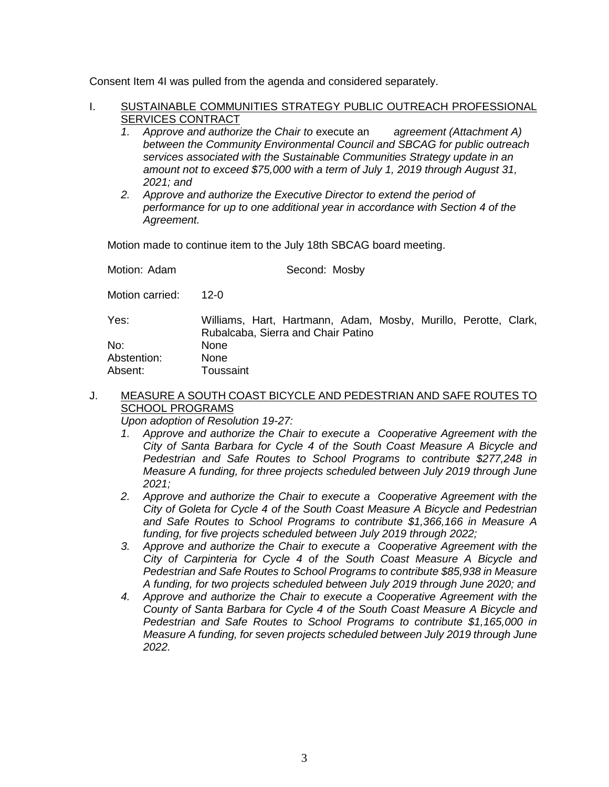Consent Item 4I was pulled from the agenda and considered separately.

- I. SUSTAINABLE COMMUNITIES STRATEGY PUBLIC OUTREACH PROFESSIONAL SERVICES CONTRACT
	- *1. Approve and authorize the Chair to* execute an *agreement (Attachment A) between the Community Environmental Council and SBCAG for public outreach services associated with the Sustainable Communities Strategy update in an amount not to exceed \$75,000 with a term of July 1, 2019 through August 31, 2021; and*
	- *2. Approve and authorize the Executive Director to extend the period of performance for up to one additional year in accordance with Section 4 of the Agreement.*

Motion made to continue item to the July 18th SBCAG board meeting.

| Motion: Adam    | Second: Mosby                                                                                         |
|-----------------|-------------------------------------------------------------------------------------------------------|
| Motion carried: | 12-0                                                                                                  |
| Yes:            | Williams, Hart, Hartmann, Adam, Mosby, Murillo, Perotte, Clark,<br>Rubalcaba, Sierra and Chair Patino |
| No:             | <b>None</b>                                                                                           |
| Abstention:     | None                                                                                                  |
| Absent:         | Toussaint                                                                                             |

# J. MEASURE A SOUTH COAST BICYCLE AND PEDESTRIAN AND SAFE ROUTES TO SCHOOL PROGRAMS

*Upon adoption of Resolution 19-27:*

- *1. Approve and authorize the Chair to execute a Cooperative Agreement with the City of Santa Barbara for Cycle 4 of the South Coast Measure A Bicycle and Pedestrian and Safe Routes to School Programs to contribute \$277,248 in Measure A funding, for three projects scheduled between July 2019 through June 2021;*
- *2. Approve and authorize the Chair to execute a Cooperative Agreement with the City of Goleta for Cycle 4 of the South Coast Measure A Bicycle and Pedestrian and Safe Routes to School Programs to contribute \$1,366,166 in Measure A funding, for five projects scheduled between July 2019 through 2022;*
- *3. Approve and authorize the Chair to execute a Cooperative Agreement with the City of Carpinteria for Cycle 4 of the South Coast Measure A Bicycle and Pedestrian and Safe Routes to School Programs to contribute \$85,938 in Measure A funding, for two projects scheduled between July 2019 through June 2020; and*
- *4. Approve and authorize the Chair to execute a Cooperative Agreement with the County of Santa Barbara for Cycle 4 of the South Coast Measure A Bicycle and Pedestrian and Safe Routes to School Programs to contribute \$1,165,000 in Measure A funding, for seven projects scheduled between July 2019 through June 2022.*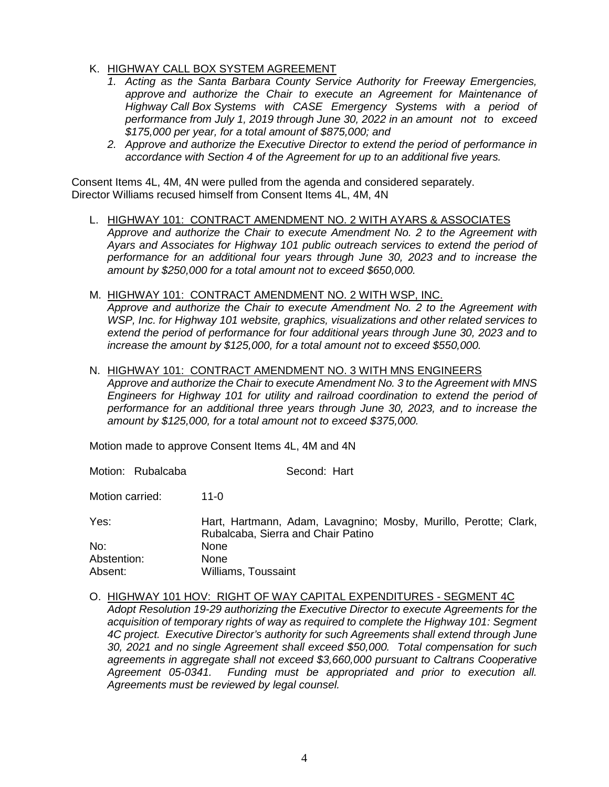# K. HIGHWAY CALL BOX SYSTEM AGREEMENT

- *1. Acting as the Santa Barbara County Service Authority for Freeway Emergencies, approve and authorize the Chair to execute an Agreement for Maintenance of Highway Call Box Systems with CASE Emergency Systems with a period of performance from July 1, 2019 through June 30, 2022 in an amount not to exceed \$175,000 per year, for a total amount of \$875,000; and*
- *2. Approve and authorize the Executive Director to extend the period of performance in accordance with Section 4 of the Agreement for up to an additional five years.*

Consent Items 4L, 4M, 4N were pulled from the agenda and considered separately. Director Williams recused himself from Consent Items 4L, 4M, 4N

- L. HIGHWAY 101: CONTRACT AMENDMENT NO. 2 WITH AYARS & ASSOCIATES *Approve and authorize the Chair to execute Amendment No. 2 to the Agreement with Ayars and Associates for Highway 101 public outreach services to extend the period of performance for an additional four years through June 30, 2023 and to increase the amount by \$250,000 for a total amount not to exceed \$650,000.*
- M. HIGHWAY 101: CONTRACT AMENDMENT NO. 2 WITH WSP, INC.

*Approve and authorize the Chair to execute Amendment No. 2 to the Agreement with WSP, Inc. for Highway 101 website, graphics, visualizations and other related services to extend the period of performance for four additional years through June 30, 2023 and to increase the amount by \$125,000, for a total amount not to exceed \$550,000.*

N. HIGHWAY 101: CONTRACT AMENDMENT NO. 3 WITH MNS ENGINEERS

*Approve and authorize the Chair to execute Amendment No. 3 to the Agreement with MNS Engineers for Highway 101 for utility and railroad coordination to extend the period of performance for an additional three years through June 30, 2023, and to increase the amount by \$125,000, for a total amount not to exceed \$375,000.*

Motion made to approve Consent Items 4L, 4M and 4N

Motion: Rubalcaba Second: Hart

Motion carried: 11-0

| Yes:        | Hart, Hartmann, Adam, Lavagnino; Mosby, Murillo, Perotte; Clark, |
|-------------|------------------------------------------------------------------|
|             | Rubalcaba, Sierra and Chair Patino                               |
| No:         | None                                                             |
| Abstention: | <b>None</b>                                                      |
| Absent:     | Williams, Toussaint                                              |

O. HIGHWAY 101 HOV: RIGHT OF WAY CAPITAL EXPENDITURES - SEGMENT 4C

*Adopt Resolution 19-29 authorizing the Executive Director to execute Agreements for the acquisition of temporary rights of way as required to complete the Highway 101: Segment 4C project. Executive Director's authority for such Agreements shall extend through June 30, 2021 and no single Agreement shall exceed \$50,000. Total compensation for such agreements in aggregate shall not exceed \$3,660,000 pursuant to Caltrans Cooperative Agreement 05-0341. Funding must be appropriated and prior to execution all. Agreements must be reviewed by legal counsel.*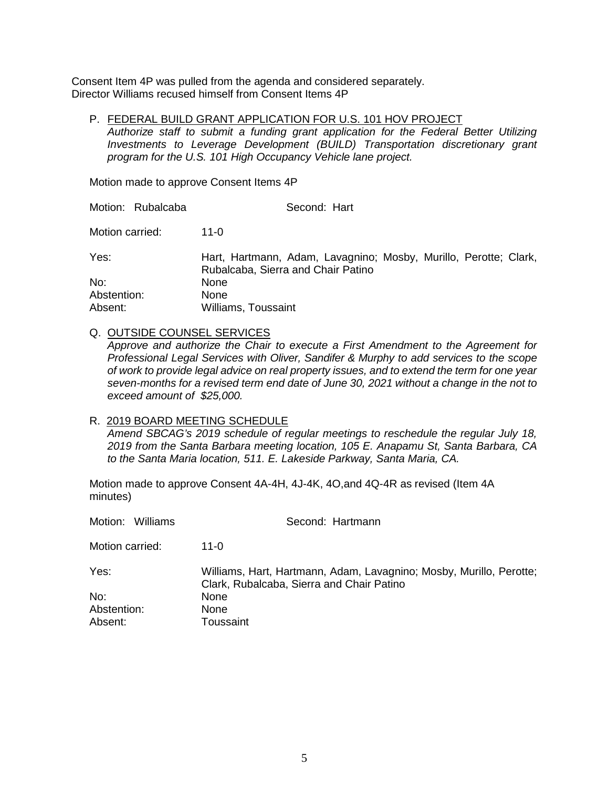Consent Item 4P was pulled from the agenda and considered separately. Director Williams recused himself from Consent Items 4P

P. FEDERAL BUILD GRANT APPLICATION FOR U.S. 101 HOV PROJECT *Authorize staff to submit a funding grant application for the Federal Better Utilizing Investments to Leverage Development (BUILD) Transportation discretionary grant program for the U.S. 101 High Occupancy Vehicle lane project.*

Motion made to approve Consent Items 4P

Motion: Rubalcaba Second: Hart Motion carried: 11-0

Yes: Hart, Hartmann, Adam, Lavagnino; Mosby, Murillo, Perotte; Clark, Rubalcaba, Sierra and Chair Patino No: None Abstention: None Absent: Williams, Toussaint

#### Q. OUTSIDE COUNSEL SERVICES

*Approve and authorize the Chair to execute a First Amendment to the Agreement for Professional Legal Services with Oliver, Sandifer & Murphy to add services to the scope of work to provide legal advice on real property issues, and to extend the term for one year seven-months for a revised term end date of June 30, 2021 without a change in the not to exceed amount of \$25,000.*

#### R. 2019 BOARD MEETING SCHEDULE

*Amend SBCAG's 2019 schedule of regular meetings to reschedule the regular July 18, 2019 from the Santa Barbara meeting location, 105 E. Anapamu St, Santa Barbara, CA to the Santa Maria location, 511. E. Lakeside Parkway, Santa Maria, CA.* 

Motion made to approve Consent 4A-4H, 4J-4K, 4O,and 4Q-4R as revised (Item 4A minutes)

| Motion: Williams | Second: Hartmann                                                                                                 |
|------------------|------------------------------------------------------------------------------------------------------------------|
| Motion carried:  | 11-0                                                                                                             |
| Yes:             | Williams, Hart, Hartmann, Adam, Lavagnino; Mosby, Murillo, Perotte;<br>Clark, Rubalcaba, Sierra and Chair Patino |
| No:              | None                                                                                                             |
| Abstention:      | None                                                                                                             |
| Absent:          | Toussaint                                                                                                        |